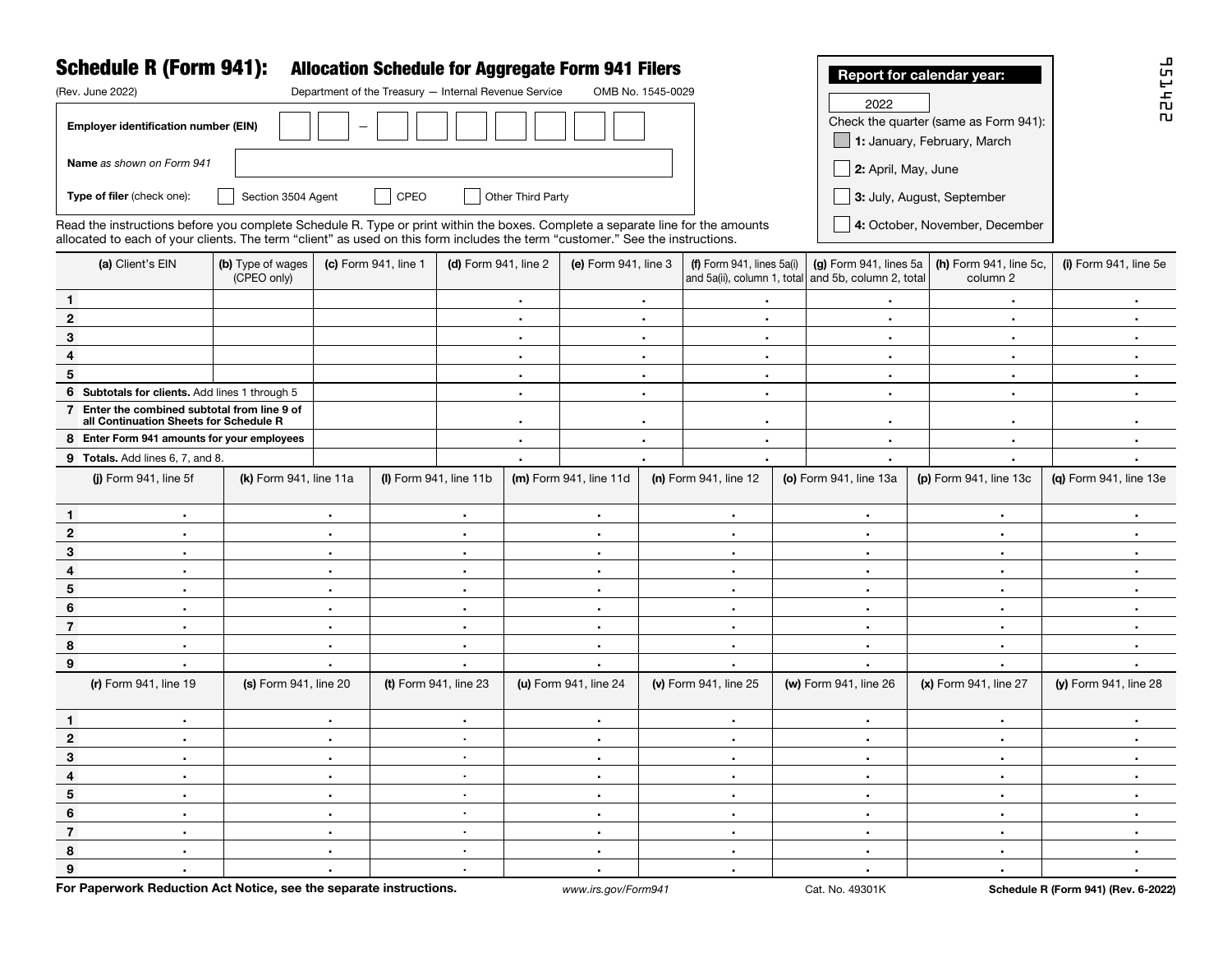|                                                                                        | <b>Schedule R (Form 941):</b>                                                                                                                                                                                                                                                                     |                                  |                        |                                                       |                                                    |                                                | <b>Allocation Schedule for Aggregate Form 941 Filers</b> |                       |                           |                                       |                                                                               | Report for calendar year:          | ᅩ<br>51                |
|----------------------------------------------------------------------------------------|---------------------------------------------------------------------------------------------------------------------------------------------------------------------------------------------------------------------------------------------------------------------------------------------------|----------------------------------|------------------------|-------------------------------------------------------|----------------------------------------------------|------------------------------------------------|----------------------------------------------------------|-----------------------|---------------------------|---------------------------------------|-------------------------------------------------------------------------------|------------------------------------|------------------------|
|                                                                                        | (Rev. June 2022)                                                                                                                                                                                                                                                                                  |                                  |                        | Department of the Treasury - Internal Revenue Service |                                                    |                                                | OMB No. 1545-0029                                        |                       |                           |                                       | 2022                                                                          |                                    | 臣                      |
| Employer identification number (EIN)<br>1: January, February, March                    |                                                                                                                                                                                                                                                                                                   |                                  |                        |                                                       |                                                    |                                                |                                                          |                       |                           | Check the quarter (same as Form 941): | <b>n</b>                                                                      |                                    |                        |
|                                                                                        | Name as shown on Form 941                                                                                                                                                                                                                                                                         |                                  |                        |                                                       |                                                    |                                                |                                                          |                       |                           |                                       |                                                                               | $\Box$ 2: April, May, June         |                        |
|                                                                                        | Other Third Party<br>Type of filer (check one):<br>Section 3504 Agent<br>CPEO<br>3: July, August, September                                                                                                                                                                                       |                                  |                        |                                                       |                                                    |                                                |                                                          |                       |                           |                                       |                                                                               |                                    |                        |
|                                                                                        | 4: October, November, December<br>Read the instructions before you complete Schedule R. Type or print within the boxes. Complete a separate line for the amounts<br>allocated to each of your clients. The term "client" as used on this form includes the term "customer." See the instructions. |                                  |                        |                                                       |                                                    |                                                |                                                          |                       |                           |                                       |                                                                               |                                    |                        |
|                                                                                        | (a) Client's EIN                                                                                                                                                                                                                                                                                  | (b) Type of wages<br>(CPEO only) |                        | (c) Form 941, line 1                                  | (d) Form 941, line 2                               |                                                | (e) Form 941, line 3                                     |                       | (f) Form 941, lines 5a(i) |                                       | (g) Form 941, lines 5a<br>and 5a(ii), column 1, total and 5b, column 2, total | (h) Form 941, line 5c,<br>column 2 | (i) Form 941, line 5e  |
| $\mathbf{1}$                                                                           |                                                                                                                                                                                                                                                                                                   |                                  |                        |                                                       |                                                    | $\blacksquare$                                 |                                                          | $\bullet$             |                           | $\blacksquare$                        |                                                                               | ٠                                  | $\bullet$              |
| $\mathbf{2}$                                                                           |                                                                                                                                                                                                                                                                                                   |                                  |                        |                                                       |                                                    | $\bullet$                                      |                                                          | $\bullet$             |                           | $\bullet$                             | ٠                                                                             | ٠                                  | ٠                      |
| 3                                                                                      |                                                                                                                                                                                                                                                                                                   |                                  |                        |                                                       | $\bullet$                                          |                                                | $\bullet$                                                |                       | $\bullet$                 |                                       | $\bullet$                                                                     | $\blacksquare$                     | $\bullet$              |
| 4                                                                                      |                                                                                                                                                                                                                                                                                                   |                                  |                        |                                                       | $\bullet$                                          |                                                |                                                          | $\blacksquare$        |                           | $\bullet$                             | $\bullet$                                                                     | $\blacksquare$                     | $\blacksquare$         |
| 5                                                                                      |                                                                                                                                                                                                                                                                                                   |                                  |                        |                                                       | ٠.                                                 |                                                | $\blacksquare$                                           |                       | $\bullet$                 |                                       | $\bullet$                                                                     | $\blacksquare$                     | $\blacksquare$         |
|                                                                                        | 6 Subtotals for clients. Add lines 1 through 5                                                                                                                                                                                                                                                    |                                  |                        |                                                       |                                                    | ٠.                                             |                                                          | $\blacksquare$        | $\bullet$                 |                                       | ٠                                                                             | ٠                                  | $\blacksquare$         |
| 7 Enter the combined subtotal from line 9 of<br>all Continuation Sheets for Schedule R |                                                                                                                                                                                                                                                                                                   |                                  |                        |                                                       | ٠.                                                 |                                                |                                                          | $\bullet$<br>٠        |                           |                                       | $\blacksquare$                                                                | $\blacksquare$                     | $\blacksquare$         |
| 8 Enter Form 941 amounts for your employees                                            |                                                                                                                                                                                                                                                                                                   |                                  |                        |                                                       | $\blacksquare$                                     |                                                |                                                          | $\blacksquare$        |                           | $\blacksquare$                        | $\bullet$                                                                     | $\blacksquare$                     | $\sim$                 |
| 9 Totals. Add lines 6, 7, and 8.                                                       |                                                                                                                                                                                                                                                                                                   |                                  |                        |                                                       |                                                    |                                                |                                                          |                       |                           |                                       | ٠                                                                             |                                    |                        |
|                                                                                        | (i) Form 941, line 5f                                                                                                                                                                                                                                                                             |                                  | (k) Form 941, line 11a |                                                       | $(I)$ Form 941, line 11b<br>(m) Form 941, line 11d |                                                |                                                          | (n) Form 941, line 12 |                           |                                       | (o) Form 941, line 13a                                                        | (p) Form 941, line 13c             | (g) Form 941, line 13e |
| $\mathbf{1}$                                                                           | $\blacksquare$                                                                                                                                                                                                                                                                                    |                                  | ٠                      |                                                       | $\blacksquare$                                     |                                                | $\bullet$                                                |                       | $\sim$                    |                                       | $\bullet$                                                                     | $\bullet$                          | ٠                      |
| $\mathbf{2}$                                                                           | $\bullet$                                                                                                                                                                                                                                                                                         |                                  | ٠                      |                                                       | ٠                                                  |                                                | $\sim$                                                   |                       | $\bullet$                 |                                       | $\sim$                                                                        | $\bullet$                          | $\blacksquare$         |
| 3                                                                                      | $\bullet$                                                                                                                                                                                                                                                                                         |                                  | ٠                      |                                                       | ٠                                                  |                                                | $\sim$                                                   |                       | $\bullet$                 |                                       | $\bullet$                                                                     | $\blacksquare$                     | $\blacksquare$         |
| 4                                                                                      | $\blacksquare$                                                                                                                                                                                                                                                                                    |                                  | ٠                      |                                                       | ٠                                                  |                                                | $\sim$                                                   |                       | $\blacksquare$            |                                       | $\bullet$                                                                     | $\blacksquare$                     | $\blacksquare$         |
| 5                                                                                      | $\blacksquare$                                                                                                                                                                                                                                                                                    |                                  | ٠                      |                                                       | ٠                                                  |                                                | $\sim$                                                   |                       | $\blacksquare$            |                                       | ٠                                                                             | $\bullet$                          | $\blacksquare$         |
| 6                                                                                      | $\bullet$                                                                                                                                                                                                                                                                                         |                                  | ٠                      |                                                       | ٠                                                  |                                                | $\sim$                                                   |                       | $\blacksquare$            |                                       | $\bullet$                                                                     | $\blacksquare$                     | $\blacksquare$         |
| $\overline{7}$                                                                         | $\bullet$                                                                                                                                                                                                                                                                                         |                                  | ٠                      |                                                       | ٠                                                  |                                                | $\sim$                                                   |                       | $\blacksquare$            |                                       | $\sim$                                                                        | $\blacksquare$                     | $\blacksquare$         |
| 8                                                                                      | $\bullet$                                                                                                                                                                                                                                                                                         |                                  | ٠                      |                                                       | $\blacksquare$<br>$\sim$                           |                                                |                                                          | $\blacksquare$        |                           |                                       | $\blacksquare$<br>٠                                                           |                                    | $\blacksquare$         |
| $\boldsymbol{9}$                                                                       | ٠                                                                                                                                                                                                                                                                                                 | ٠                                |                        | ٠                                                     |                                                    |                                                |                                                          | ٠                     |                           | ٠                                     | ٠                                                                             | ٠                                  |                        |
|                                                                                        | (r) Form 941, line 19<br>(s) Form 941, line 20<br>(t) Form 941, line 23                                                                                                                                                                                                                           |                                  |                        |                                                       |                                                    | (u) Form 941, line 24<br>(v) Form 941, line 25 |                                                          |                       | (w) Form 941, line 26     | (x) Form 941, line 27                 | (y) Form 941, line 28                                                         |                                    |                        |
| $\mathbf{1}$                                                                           | $\blacksquare$                                                                                                                                                                                                                                                                                    |                                  | $\blacksquare$         |                                                       | $\blacksquare$                                     |                                                | $\sim$                                                   |                       | $\blacksquare$            |                                       | $\sim$                                                                        | $\sim$                             | ٠                      |
| $\mathbf{2}$                                                                           | $\blacksquare$                                                                                                                                                                                                                                                                                    |                                  | $\blacksquare$         |                                                       | $\sim$                                             |                                                | $\sim$                                                   |                       | $\sim$                    |                                       | ٠.                                                                            | $\sim$                             | $\sim$                 |
| 3                                                                                      | $\sim$                                                                                                                                                                                                                                                                                            |                                  |                        |                                                       | $\sim$                                             |                                                | $\sim$                                                   |                       | $\sim$                    |                                       |                                                                               | $\sim$                             | <b>A</b>               |
| $\overline{4}$                                                                         | $\mathbf{r}$ .                                                                                                                                                                                                                                                                                    |                                  | $\sim$                 |                                                       | $\sim$                                             |                                                | $\mathbf{H}^{\prime}$ .                                  |                       | $\sim$                    |                                       | $\mathbf{H}^{\prime}$ .                                                       | $\sim$                             | $\sim$                 |
| $5\phantom{.0}$                                                                        | $\sim$                                                                                                                                                                                                                                                                                            |                                  | $\sim$                 |                                                       | $\sim$                                             |                                                | $\sim$                                                   |                       | $\sim$                    |                                       | $\sim$                                                                        | $\sim$                             | $\sim$                 |
| 6                                                                                      | $\sim$                                                                                                                                                                                                                                                                                            |                                  | $\sim$                 |                                                       | $\sim$                                             |                                                | $\bullet$ .                                              |                       | $\sim$                    |                                       | $\sim$                                                                        | $\sim$                             | $\sim$                 |
| $\overline{7}$                                                                         | $\sim$                                                                                                                                                                                                                                                                                            |                                  | $\sim$                 |                                                       | $\sim$                                             |                                                | $\sim$                                                   |                       | $\sim$                    |                                       | $\sim$                                                                        | $\sim$                             | $\sim$                 |
| 8                                                                                      | $\sim$                                                                                                                                                                                                                                                                                            |                                  | $\bullet$ .            |                                                       | $\sim$                                             |                                                | $\sim$                                                   |                       | $\sim$                    |                                       | $\sim$                                                                        | $\sim$                             | $\sim$                 |
| 9                                                                                      | $\mathbf{H}^{\text{max}}$                                                                                                                                                                                                                                                                         |                                  | $\bullet$              |                                                       | $\sim$                                             |                                                | $\sim$                                                   |                       | $\sim$                    |                                       | $\sim$                                                                        | $\sim$                             | $\sim$                 |